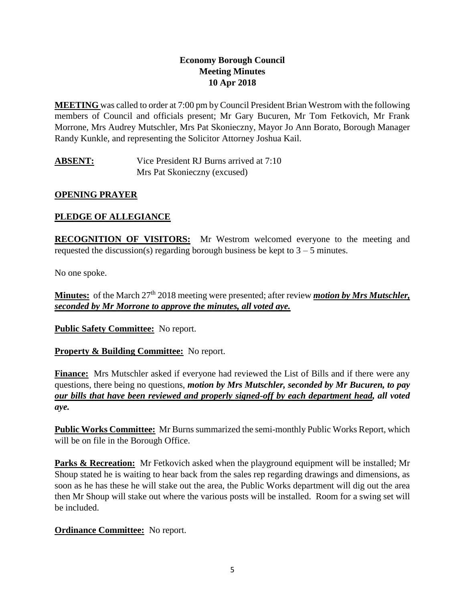### **Economy Borough Council Meeting Minutes 10 Apr 2018**

**MEETING** was called to order at 7:00 pm by Council President Brian Westrom with the following members of Council and officials present; Mr Gary Bucuren, Mr Tom Fetkovich, Mr Frank Morrone, Mrs Audrey Mutschler, Mrs Pat Skonieczny, Mayor Jo Ann Borato, Borough Manager Randy Kunkle, and representing the Solicitor Attorney Joshua Kail.

**ABSENT:** Vice President RJ Burns arrived at 7:10 Mrs Pat Skonieczny (excused)

# **OPENING PRAYER**

# **PLEDGE OF ALLEGIANCE**

**RECOGNITION OF VISITORS:** Mr Westrom welcomed everyone to the meeting and requested the discussion(s) regarding borough business be kept to  $3 - 5$  minutes.

No one spoke.

Minutes: of the March 27<sup>th</sup> 2018 meeting were presented; after review *motion by Mrs Mutschler*, *seconded by Mr Morrone to approve the minutes, all voted aye.*

**Public Safety Committee:** No report.

**Property & Building Committee:** No report.

**Finance:** Mrs Mutschler asked if everyone had reviewed the List of Bills and if there were any questions, there being no questions, *motion by Mrs Mutschler, seconded by Mr Bucuren, to pay our bills that have been reviewed and properly signed-off by each department head, all voted aye.*

**Public Works Committee:** Mr Burns summarized the semi-monthly Public Works Report, which will be on file in the Borough Office.

**Parks & Recreation:** Mr Fetkovich asked when the playground equipment will be installed; Mr Shoup stated he is waiting to hear back from the sales rep regarding drawings and dimensions, as soon as he has these he will stake out the area, the Public Works department will dig out the area then Mr Shoup will stake out where the various posts will be installed. Room for a swing set will be included.

# **Ordinance Committee:** No report.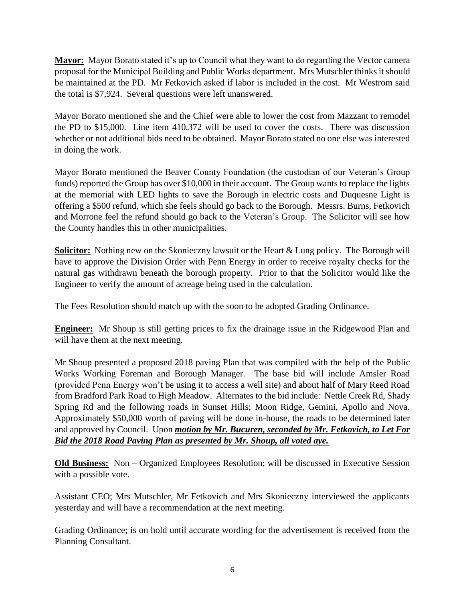**Mayor:** Mayor Borato stated it's up to Council what they want to do regarding the Vector camera proposal for the Municipal Building and Public Works department. Mrs Mutschler thinks it should be maintained at the PD. Mr Fetkovich asked if labor is included in the cost. Mr Westrom said the total is \$7,924. Several questions were left unanswered.

Mayor Borato mentioned she and the Chief were able to lower the cost from Mazzant to remodel the PD to \$15,000. Line item 410.372 will be used to cover the costs. There was discussion whether or not additional bids need to be obtained. Mayor Borato stated no one else was interested in doing the work.

Mayor Borato mentioned the Beaver County Foundation (the custodian of our Veteran's Group funds) reported the Group has over \$10,000 in their account. The Group wants to replace the lights at the memorial with LED lights to save the Borough in electric costs and Duquesne Light is offering a \$500 refund, which she feels should go back to the Borough. Messrs. Burns, Fetkovich and Morrone feel the refund should go back to the Veteran's Group. The Solicitor will see how the County handles this in other municipalities.

**Solicitor:** Nothing new on the Skonieczny lawsuit or the Heart & Lung policy. The Borough will have to approve the Division Order with Penn Energy in order to receive royalty checks for the natural gas withdrawn beneath the borough property. Prior to that the Solicitor would like the Engineer to verify the amount of acreage being used in the calculation.

The Fees Resolution should match up with the soon to be adopted Grading Ordinance.

**Engineer:** Mr Shoup is still getting prices to fix the drainage issue in the Ridgewood Plan and will have them at the next meeting.

Mr Shoup presented a proposed 2018 paving Plan that was compiled with the help of the Public Works Working Foreman and Borough Manager. The base bid will include Amsler Road (provided Penn Energy won't be using it to access a well site) and about half of Mary Reed Road from Bradford Park Road to High Meadow. Alternates to the bid include: Nettle Creek Rd, Shady Spring Rd and the following roads in Sunset Hills; Moon Ridge, Gemini, Apollo and Nova. Approximately \$50,000 worth of paving will be done in-house, the roads to be determined later and approved by Council. Upon *motion by Mr. Bucuren, seconded by Mr. Fetkovich, to Let For Bid the 2018 Road Paving Plan as presented by Mr. Shoup, all voted aye.*

**Old Business:** Non – Organized Employees Resolution; will be discussed in Executive Session with a possible vote.

Assistant CEO; Mrs Mutschler, Mr Fetkovich and Mrs Skonieczny interviewed the applicants yesterday and will have a recommendation at the next meeting.

Grading Ordinance; is on hold until accurate wording for the advertisement is received from the Planning Consultant.